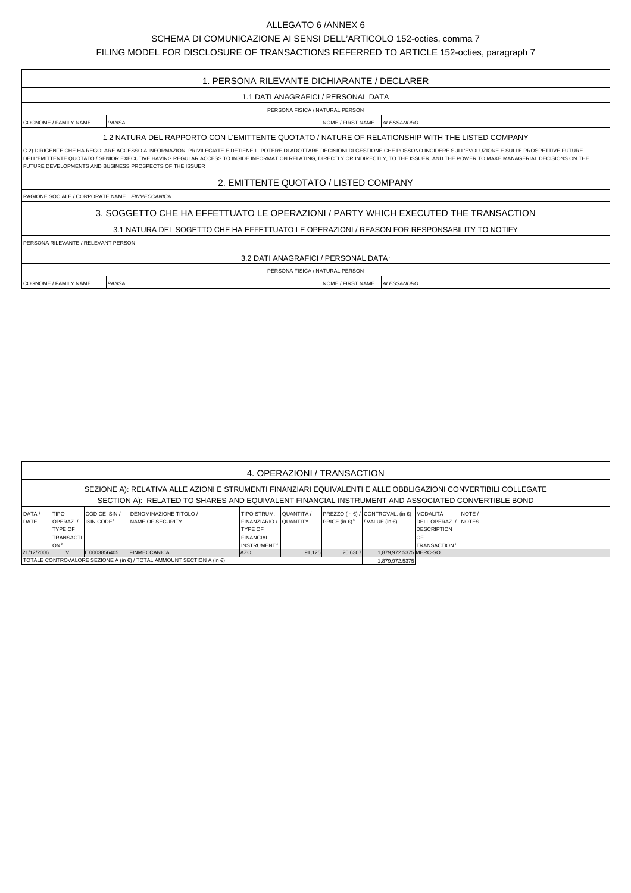## ALLEGATO 6 /ANNEX 6

SCHEMA DI COMUNICAZIONE AI SENSI DELL'ARTICOLO 152-octies, comma 7

FILING MODEL FOR DISCLOSURE OF TRANSACTIONS REFERRED TO ARTICLE 152-octies, paragraph 7

| 1. PERSONA RILEVANTE DICHIARANTE / DECLARER                                                                                                                                                                                                                                                                                                                                                                                                        |                                                 |                          |                   |  |  |  |  |  |  |
|----------------------------------------------------------------------------------------------------------------------------------------------------------------------------------------------------------------------------------------------------------------------------------------------------------------------------------------------------------------------------------------------------------------------------------------------------|-------------------------------------------------|--------------------------|-------------------|--|--|--|--|--|--|
| 1.1 DATI ANAGRAFICI / PERSONAL DATA                                                                                                                                                                                                                                                                                                                                                                                                                |                                                 |                          |                   |  |  |  |  |  |  |
| PERSONA FISICA / NATURAL PERSON                                                                                                                                                                                                                                                                                                                                                                                                                    |                                                 |                          |                   |  |  |  |  |  |  |
| <b>COGNOME / FAMILY NAME</b>                                                                                                                                                                                                                                                                                                                                                                                                                       | PANSA<br>NOME / FIRST NAME<br><b>ALESSANDRO</b> |                          |                   |  |  |  |  |  |  |
| 1.2 NATURA DEL RAPPORTO CON L'EMITTENTE QUOTATO / NATURE OF RELATIONSHIP WITH THE LISTED COMPANY                                                                                                                                                                                                                                                                                                                                                   |                                                 |                          |                   |  |  |  |  |  |  |
| C.2) DIRIGENTE CHE HA REGOLARE ACCESSO A INFORMAZIONI PRIVILEGIATE E DETIENE IL POTERE DI ADOTTARE DECISIONI DI GESTIONE CHE POSSONO INCIDERE SULL'EVOLUZIONE E SULLE PROSPETTIVE FUTURE<br>DELL'EMITTENTE QUOTATO / SENIOR EXECUTIVE HAVING REGULAR ACCESS TO INSIDE INFORMATION RELATING, DIRECTLY OR INDIRECTLY, TO THE ISSUER, AND THE POWER TO MAKE MANAGERIAL DECISIONS ON THE<br>I FUTURE DEVELOPMENTS AND BUSINESS PROSPECTS OF THE ISSUER |                                                 |                          |                   |  |  |  |  |  |  |
| 2. EMITTENTE QUOTATO / LISTED COMPANY                                                                                                                                                                                                                                                                                                                                                                                                              |                                                 |                          |                   |  |  |  |  |  |  |
| <b>RAGIONE SOCIALE / CORPORATE NAME FINMECCANICA</b>                                                                                                                                                                                                                                                                                                                                                                                               |                                                 |                          |                   |  |  |  |  |  |  |
| 3. SOGGETTO CHE HA EFFETTUATO LE OPERAZIONI / PARTY WHICH EXECUTED THE TRANSACTION                                                                                                                                                                                                                                                                                                                                                                 |                                                 |                          |                   |  |  |  |  |  |  |
| 3.1 NATURA DEL SOGETTO CHE HA EFFETTUATO LE OPERAZIONI / REASON FOR RESPONSABILITY TO NOTIFY                                                                                                                                                                                                                                                                                                                                                       |                                                 |                          |                   |  |  |  |  |  |  |
| <b>PERSONA RILEVANTE / RELEVANT PERSON</b>                                                                                                                                                                                                                                                                                                                                                                                                         |                                                 |                          |                   |  |  |  |  |  |  |
| 3.2 DATI ANAGRAFICI / PERSONAL DATA                                                                                                                                                                                                                                                                                                                                                                                                                |                                                 |                          |                   |  |  |  |  |  |  |
| PERSONA FISICA / NATURAL PERSON                                                                                                                                                                                                                                                                                                                                                                                                                    |                                                 |                          |                   |  |  |  |  |  |  |
| <b>COGNOME / FAMILY NAME</b>                                                                                                                                                                                                                                                                                                                                                                                                                       | <b>PANSA</b>                                    | <b>NOME / FIRST NAME</b> | <b>ALESSANDRO</b> |  |  |  |  |  |  |

| 4. OPERAZIONI / TRANSACTION                                                                                                                                                                                         |                  |                        |                                |                    |                 |                                |                                            |                                |             |  |  |  |
|---------------------------------------------------------------------------------------------------------------------------------------------------------------------------------------------------------------------|------------------|------------------------|--------------------------------|--------------------|-----------------|--------------------------------|--------------------------------------------|--------------------------------|-------------|--|--|--|
| SEZIONE A): RELATIVA ALLE AZIONI E STRUMENTI FINANZIARI EQUIVALENTI E ALLE OBBLIGAZIONI CONVERTIBILI COLLEGATE<br>SECTION A): RELATED TO SHARES AND EQUIVALENT FINANCIAL INSTRUMENT AND ASSOCIATED CONVERTIBLE BOND |                  |                        |                                |                    |                 |                                |                                            |                                |             |  |  |  |
|                                                                                                                                                                                                                     |                  |                        |                                |                    |                 |                                |                                            |                                |             |  |  |  |
| DATA/                                                                                                                                                                                                               | <b>TIPO</b>      | CODICE ISIN /          | <b>IDENOMINAZIONE TITOLO /</b> | <b>TIPO STRUM.</b> | QUANTITÀ /      |                                | PREZZO (in €) / CONTROVAL. (in €) MODALITÀ |                                | <b>NOTE</b> |  |  |  |
| DATE                                                                                                                                                                                                                | <b>IOPERAZ.</b>  | ISIN CODE <sup>3</sup> | <b>INAME OF SECURITY</b>       | <b>FINANZIARIO</b> | <b>CUANTITY</b> | PRICE (in $\in$ ) <sup>5</sup> | / VALUE (in $\epsilon$ )                   | <b>IDELL'OPERAZ. / INOTES</b>  |             |  |  |  |
|                                                                                                                                                                                                                     | <b>TYPE OF</b>   |                        |                                | <b>TYPE OF</b>     |                 |                                |                                            | <b>DESCRIPTION</b>             |             |  |  |  |
|                                                                                                                                                                                                                     | <b>TRANSACTI</b> |                        |                                | FINANCIAL          |                 |                                |                                            | OF                             |             |  |  |  |
|                                                                                                                                                                                                                     | lon <sup>2</sup> |                        |                                | <b>INSTRUMENT</b>  |                 |                                |                                            | <b>TRANSACTION<sup>6</sup></b> |             |  |  |  |
| 21/12/2006                                                                                                                                                                                                          |                  | IT0003856405           | <b>FINMECCANICA</b>            | <b>AZO</b>         | 91.125          | 20.6307                        | 1.879.972.5375 MERC-SO                     |                                |             |  |  |  |
| I TOTALE CONTROVALORE SEZIONE A (in €) / TOTAL AMMOUNT SECTION A (in €)                                                                                                                                             |                  |                        |                                |                    |                 |                                |                                            | 1.879.972.5375                 |             |  |  |  |